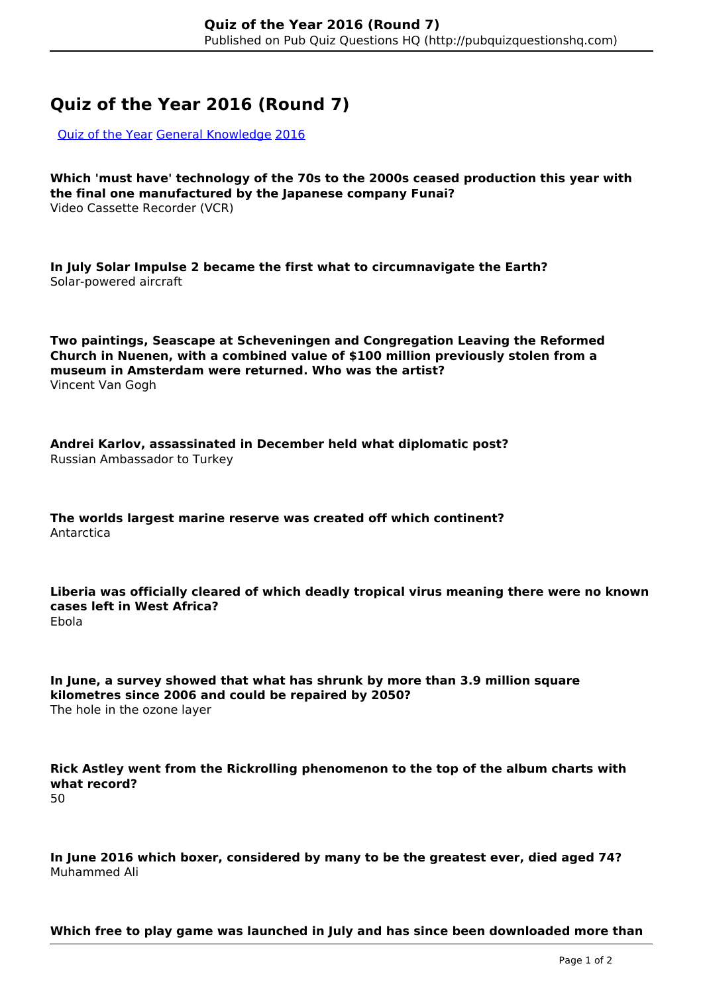## **Quiz of the Year 2016 (Round 7)**

[Quiz of the Year](http://pubquizquestionshq.com/categories/quiz-of-the-year-2021) [General Knowledge](http://pubquizquestionshq.com/categories/general-knowledge) [2016](http://pubquizquestionshq.com/categories/2016)

**Which 'must have' technology of the 70s to the 2000s ceased production this year with the final one manufactured by the Japanese company Funai?** Video Cassette Recorder (VCR)

**In July Solar Impulse 2 became the first what to circumnavigate the Earth?** Solar-powered aircraft

**Two paintings, Seascape at Scheveningen and Congregation Leaving the Reformed Church in Nuenen, with a combined value of \$100 million previously stolen from a museum in Amsterdam were returned. Who was the artist?** Vincent Van Gogh

**Andrei Karlov, assassinated in December held what diplomatic post?** Russian Ambassador to Turkey

**The worlds largest marine reserve was created off which continent?** Antarctica

**Liberia was officially cleared of which deadly tropical virus meaning there were no known cases left in West Africa?** Ebola

**In June, a survey showed that what has shrunk by more than 3.9 million square kilometres since 2006 and could be repaired by 2050?** The hole in the ozone layer

**Rick Astley went from the Rickrolling phenomenon to the top of the album charts with what record?** 50

**In June 2016 which boxer, considered by many to be the greatest ever, died aged 74?** Muhammed Ali

**Which free to play game was launched in July and has since been downloaded more than**